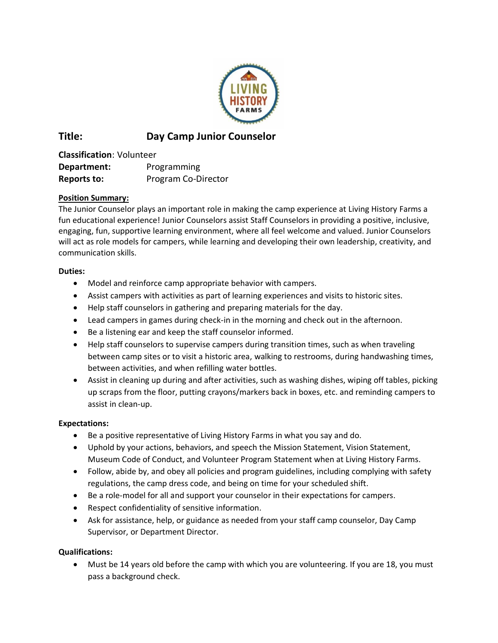

# **Title: Day Camp Junior Counselor**

**Classification**: Volunteer **Department:** Programming **Reports to:** Program Co-Director

# **Position Summary:**

The Junior Counselor plays an important role in making the camp experience at Living History Farms a fun educational experience! Junior Counselors assist Staff Counselors in providing a positive, inclusive, engaging, fun, supportive learning environment, where all feel welcome and valued. Junior Counselors will act as role models for campers, while learning and developing their own leadership, creativity, and communication skills.

#### **Duties:**

- Model and reinforce camp appropriate behavior with campers.
- Assist campers with activities as part of learning experiences and visits to historic sites.
- Help staff counselors in gathering and preparing materials for the day.
- Lead campers in games during check-in in the morning and check out in the afternoon.
- Be a listening ear and keep the staff counselor informed.
- Help staff counselors to supervise campers during transition times, such as when traveling between camp sites or to visit a historic area, walking to restrooms, during handwashing times, between activities, and when refilling water bottles.
- Assist in cleaning up during and after activities, such as washing dishes, wiping off tables, picking up scraps from the floor, putting crayons/markers back in boxes, etc. and reminding campers to assist in clean-up.

## **Expectations:**

- Be a positive representative of Living History Farms in what you say and do.
- Uphold by your actions, behaviors, and speech the Mission Statement, Vision Statement, Museum Code of Conduct, and Volunteer Program Statement when at Living History Farms.
- Follow, abide by, and obey all policies and program guidelines, including complying with safety regulations, the camp dress code, and being on time for your scheduled shift.
- Be a role-model for all and support your counselor in their expectations for campers.
- Respect confidentiality of sensitive information.
- Ask for assistance, help, or guidance as needed from your staff camp counselor, Day Camp Supervisor, or Department Director.

## **Qualifications:**

• Must be 14 years old before the camp with which you are volunteering. If you are 18, you must pass a background check.